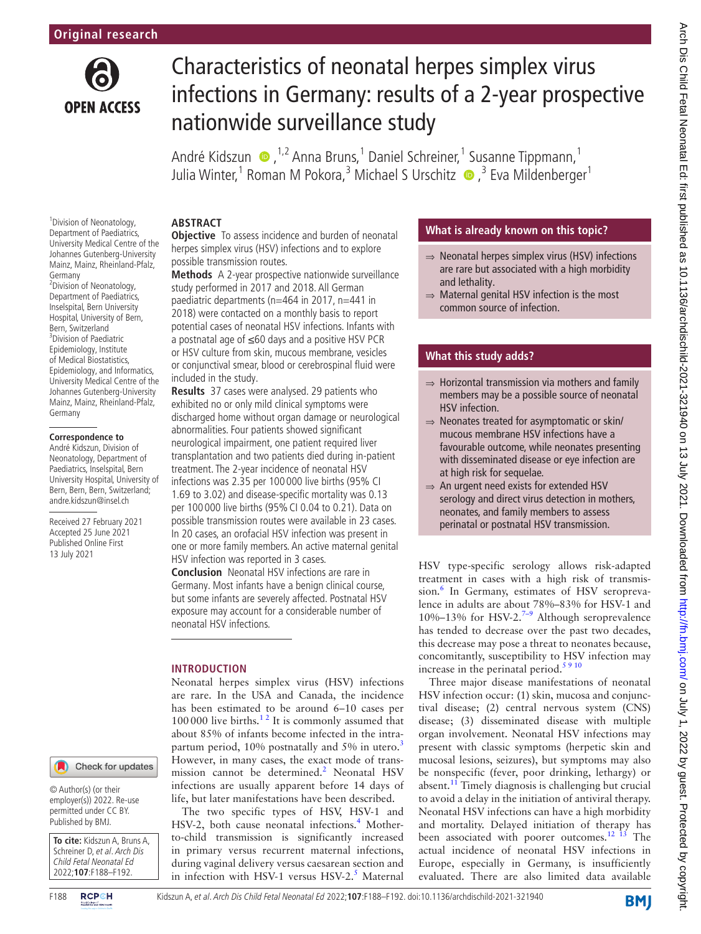

<sup>1</sup> Division of Neonatology, Department of Paediatrics, University Medical Centre of the Johannes Gutenberg-University Mainz, Mainz, Rheinland-Pfalz,

<sup>2</sup> Division of Neonatology, Department of Paediatrics, Inselspital, Bern University Hospital, University of Bern, Bern, Switzerland 3 Division of Paediatric Epidemiology, Institute of Medical Biostatistics, Epidemiology, and Informatics, University Medical Centre of the Johannes Gutenberg-University Mainz, Mainz, Rheinland-Pfalz,

Germany

Germany

**Correspondence to** André Kidszun, Division of Neonatology, Department of Paediatrics, Inselspital, Bern University Hospital, University of Bern, Bern, Bern, Switzerland; andre.kidszun@insel.ch Received 27 February 2021 Accepted 25 June 2021 Published Online First 13 July 2021

# Characteristics of neonatal herpes simplex virus infections in Germany: results of a 2-year prospective nationwide surveillance study

André Kidszun (D, <sup>1,2</sup> Anna Bruns, <sup>1</sup> Daniel Schreiner, <sup>1</sup> Susanne Tippmann, <sup>1</sup> Julia Winter,<sup>1</sup> Roman M Pokora,<sup>3</sup> Michael S Urschitz  $\bullet$  ,<sup>3</sup> Eva Mildenberger<sup>1</sup>

## **ABSTRACT**

**Objective** To assess incidence and burden of neonatal herpes simplex virus (HSV) infections and to explore possible transmission routes.

**Methods** A 2-year prospective nationwide surveillance study performed in 2017 and 2018. All German paediatric departments (n=464 in 2017, n=441 in 2018) were contacted on a monthly basis to report potential cases of neonatal HSV infections. Infants with a postnatal age of ≤60 days and a positive HSV PCR or HSV culture from skin, mucous membrane, vesicles or conjunctival smear, blood or cerebrospinal fluid were included in the study.

**Results** 37 cases were analysed. 29 patients who exhibited no or only mild clinical symptoms were discharged home without organ damage or neurological abnormalities. Four patients showed significant neurological impairment, one patient required liver transplantation and two patients died during in-patient treatment. The 2-year incidence of neonatal HSV infections was 2.35 per 100 000 live births (95% CI 1.69 to 3.02) and disease-specific mortality was 0.13 per 100 000 live births (95%CI 0.04 to 0.21). Data on possible transmission routes were available in 23 cases. In 20 cases, an orofacial HSV infection was present in one or more family members. An active maternal genital HSV infection was reported in 3 cases.

**Conclusion** Neonatal HSV infections are rare in Germany. Most infants have a benign clinical course, but some infants are severely affected. Postnatal HSV exposure may account for a considerable number of neonatal HSV infections.

## **INTRODUCTION**

Neonatal herpes simplex virus (HSV) infections are rare. In the USA and Canada, the incidence has been estimated to be around 6–10 cases per 100000 live births. $12$  It is commonly assumed that about 85% of infants become infected in the intrapartum period,  $10\%$  postnatally and 5% in utero.<sup>[3](#page-4-1)</sup> However, in many cases, the exact mode of transmission cannot be determined.<sup>2</sup> Neonatal HSV infections are usually apparent before 14 days of life, but later manifestations have been described.

The two specific types of HSV, HSV-1 and HSV-2, both cause neonatal infections.<sup>[4](#page-4-3)</sup> Motherto-child transmission is significantly increased in primary versus recurrent maternal infections, during vaginal delivery versus caesarean section and in infection with HSV-1 versus HSV-2.<sup>[5](#page-4-4)</sup> Maternal

## **What is already known on this topic?**

- ⇒ Neonatal herpes simplex virus (HSV) infections are rare but associated with a high morbidity and lethality.
- $\Rightarrow$  Maternal genital HSV infection is the most common source of infection.

## **What this study adds?**

- $\Rightarrow$  Horizontal transmission via mothers and family members may be a possible source of neonatal HSV infection.
- ⇒ Neonates treated for asymptomatic or skin/ mucous membrane HSV infections have a favourable outcome, while neonates presenting with disseminated disease or eye infection are at high risk for sequelae.
- ⇒ An urgent need exists for extended HSV serology and direct virus detection in mothers, neonates, and family members to assess perinatal or postnatal HSV transmission.

HSV type-specific serology allows risk-adapted treatment in cases with a high risk of transmission.<sup>6</sup> In Germany, estimates of HSV seroprevalence in adults are about 78%–83% for HSV-1 and 10%–13% for HSV-2.<sup>[7–9](#page-4-6)</sup> Although seroprevalence has tended to decrease over the past two decades, this decrease may pose a threat to neonates because, concomitantly, susceptibility to HSV infection may increase in the perinatal period. $5910$ 

Three major disease manifestations of neonatal HSV infection occur: (1) skin, mucosa and conjunctival disease; (2) central nervous system (CNS) disease; (3) disseminated disease with multiple organ involvement. Neonatal HSV infections may present with classic symptoms (herpetic skin and mucosal lesions, seizures), but symptoms may also be nonspecific (fever, poor drinking, lethargy) or absent. $^{11}$  $^{11}$  $^{11}$  Timely diagnosis is challenging but crucial to avoid a delay in the initiation of antiviral therapy. Neonatal HSV infections can have a high morbidity and mortality. Delayed initiation of therapy has been associated with poorer outcomes.<sup>12</sup> <sup>13</sup> The actual incidence of neonatal HSV infections in Europe, especially in Germany, is insufficiently evaluated. There are also limited data available

Check for updates

© Author(s) (or their employer(s)) 2022. Re-use permitted under CC BY. Published by BMJ.

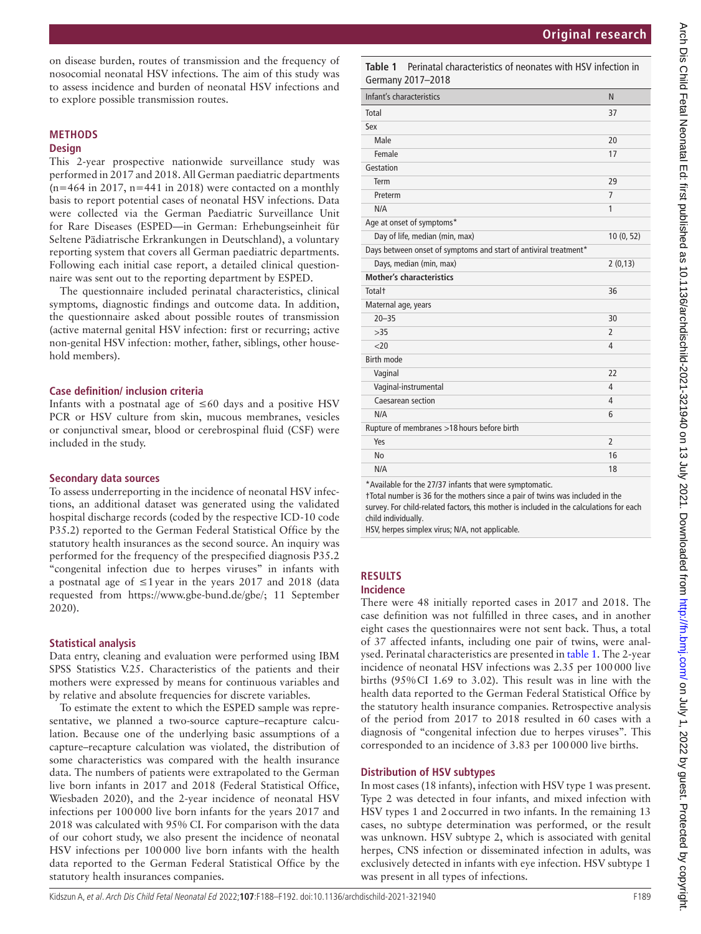on disease burden, routes of transmission and the frequency of nosocomial neonatal HSV infections. The aim of this study was to assess incidence and burden of neonatal HSV infections and to explore possible transmission routes.

## **METHODS**

## **Design**

This 2-year prospective nationwide surveillance study was performed in 2017 and 2018. All German paediatric departments  $(n=464$  in 2017, n=441 in 2018) were contacted on a monthly basis to report potential cases of neonatal HSV infections. Data were collected via the German Paediatric Surveillance Unit for Rare Diseases (ESPED—in German: Erhebungseinheit für Seltene Pädiatrische Erkrankungen in Deutschland), a voluntary reporting system that covers all German paediatric departments. Following each initial case report, a detailed clinical questionnaire was sent out to the reporting department by ESPED.

The questionnaire included perinatal characteristics, clinical symptoms, diagnostic findings and outcome data. In addition, the questionnaire asked about possible routes of transmission (active maternal genital HSV infection: first or recurring; active non-genital HSV infection: mother, father, siblings, other household members).

#### **Case definition/ inclusion criteria**

Infants with a postnatal age of  $\leq 60$  days and a positive HSV PCR or HSV culture from skin, mucous membranes, vesicles or conjunctival smear, blood or cerebrospinal fluid (CSF) were included in the study.

#### **Secondary data sources**

To assess underreporting in the incidence of neonatal HSV infections, an additional dataset was generated using the validated hospital discharge records (coded by the respective ICD-10 code P35.2) reported to the German Federal Statistical Office by the statutory health insurances as the second source. An inquiry was performed for the frequency of the prespecified diagnosis P35.2 "congenital infection due to herpes viruses" in infants with a postnatal age of ≤1year in the years 2017 and 2018 (data requested from <https://www.gbe-bund.de/gbe/>; 11 September 2020).

## **Statistical analysis**

Data entry, cleaning and evaluation were performed using IBM SPSS Statistics V.25. Characteristics of the patients and their mothers were expressed by means for continuous variables and by relative and absolute frequencies for discrete variables.

To estimate the extent to which the ESPED sample was representative, we planned a two-source capture–recapture calculation. Because one of the underlying basic assumptions of a capture–recapture calculation was violated, the distribution of some characteristics was compared with the health insurance data. The numbers of patients were extrapolated to the German live born infants in 2017 and 2018 (Federal Statistical Office, Wiesbaden 2020), and the 2-year incidence of neonatal HSV infections per 100000 live born infants for the years 2017 and 2018 was calculated with 95% CI. For comparison with the data of our cohort study, we also present the incidence of neonatal HSV infections per 100000 live born infants with the health data reported to the German Federal Statistical Office by the statutory health insurances companies.

<span id="page-1-0"></span>**Table 1** Perinatal characteristics of neonates with HSV infection in Germany 2017–2018

| .                                                                |                |
|------------------------------------------------------------------|----------------|
| Infant's characteristics                                         | N              |
| Total                                                            | 37             |
| Sex                                                              |                |
| Male                                                             | 20             |
| Female                                                           | 17             |
| Gestation                                                        |                |
| Term                                                             | 29             |
| Preterm                                                          | $\overline{7}$ |
| N/A                                                              | 1              |
| Age at onset of symptoms*                                        |                |
| Day of life, median (min, max)                                   | 10(0, 52)      |
| Days between onset of symptoms and start of antiviral treatment* |                |
| Days, median (min, max)                                          | 2(0,13)        |
| <b>Mother's characteristics</b>                                  |                |
| Total <sup>+</sup>                                               | 36             |
| Maternal age, years                                              |                |
| $20 - 35$                                                        | 30             |
| >35                                                              | $\overline{2}$ |
| <20                                                              | 4              |
| <b>Birth mode</b>                                                |                |
| Vaginal                                                          | 22             |
| Vaginal-instrumental                                             | $\overline{4}$ |
| Caesarean section                                                | 4              |
| N/A                                                              | 6              |
| Rupture of membranes >18 hours before birth                      |                |
| Yes                                                              | $\overline{2}$ |
| <b>No</b>                                                        | 16             |
| N/A                                                              | 18             |

\*Available for the 27/37 infants that were symptomatic.

†Total number is 36 for the mothers since a pair of twins was included in the survey. For child-related factors, this mother is included in the calculations for each child individually.

HSV, herpes simplex virus; N/A, not applicable.

## **RESULTS**

## **Incidence**

There were 48 initially reported cases in 2017 and 2018. The case definition was not fulfilled in three cases, and in another eight cases the questionnaires were not sent back. Thus, a total of 37 affected infants, including one pair of twins, were analysed. Perinatal characteristics are presented in [table](#page-1-0) 1. The 2-year incidence of neonatal HSV infections was 2.35 per 100000 live births (95%CI 1.69 to 3.02). This result was in line with the health data reported to the German Federal Statistical Office by the statutory health insurance companies. Retrospective analysis of the period from 2017 to 2018 resulted in 60 cases with a diagnosis of "congenital infection due to herpes viruses". This corresponded to an incidence of 3.83 per 100000 live births.

## **Distribution of HSV subtypes**

In most cases (18 infants), infection with HSV type 1 was present. Type 2 was detected in four infants, and mixed infection with HSV types 1 and 2occurred in two infants. In the remaining 13 cases, no subtype determination was performed, or the result was unknown. HSV subtype 2, which is associated with genital herpes, CNS infection or disseminated infection in adults, was exclusively detected in infants with eye infection. HSV subtype 1 was present in all types of infections.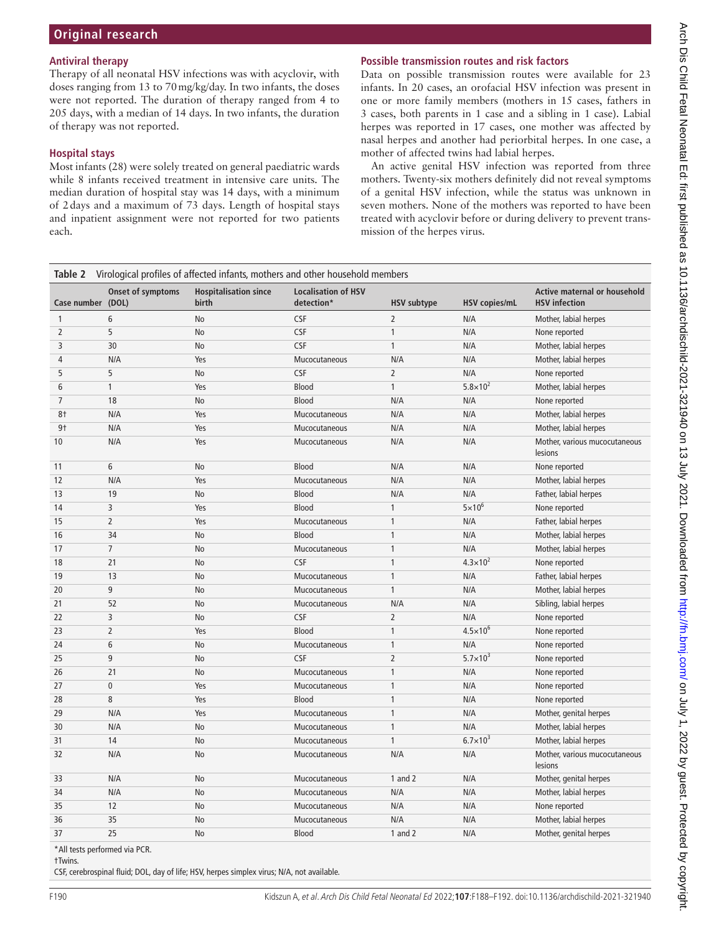## **Antiviral therapy**

Therapy of all neonatal HSV infections was with acyclovir, with doses ranging from 13 to 70mg/kg/day. In two infants, the doses were not reported. The duration of therapy ranged from 4 to 205 days, with a median of 14 days. In two infants, the duration of therapy was not reported.

## **Hospital stays**

Most infants (28) were solely treated on general paediatric wards while 8 infants received treatment in intensive care units. The median duration of hospital stay was 14 days, with a minimum of 2days and a maximum of 73 days. Length of hospital stays and inpatient assignment were not reported for two patients each.

## **Possible transmission routes and risk factors**

Data on possible transmission routes were available for 23 infants. In 20 cases, an orofacial HSV infection was present in one or more family members (mothers in 15 cases, fathers in 3 cases, both parents in 1 case and a sibling in 1 case). Labial herpes was reported in 17 cases, one mother was affected by nasal herpes and another had periorbital herpes. In one case, a mother of affected twins had labial herpes.

An active genital HSV infection was reported from three mothers. Twenty-six mothers definitely did not reveal symptoms of a genital HSV infection, while the status was unknown in seven mothers. None of the mothers was reported to have been treated with acyclovir before or during delivery to prevent transmission of the herpes virus.

<span id="page-2-0"></span>

|                   | Table 2 Virological profiles of affected infants, mothers and other household members |                                       |                                          |                    |                      |                                                             |
|-------------------|---------------------------------------------------------------------------------------|---------------------------------------|------------------------------------------|--------------------|----------------------|-------------------------------------------------------------|
| Case number (DOL) | Onset of symptoms                                                                     | <b>Hospitalisation since</b><br>birth | <b>Localisation of HSV</b><br>detection* | <b>HSV subtype</b> | <b>HSV</b> copies/mL | <b>Active maternal or household</b><br><b>HSV</b> infection |
| 1                 | 6                                                                                     | No                                    | <b>CSF</b>                               | $\overline{2}$     | N/A                  | Mother, labial herpes                                       |
| 2                 | 5                                                                                     | No                                    | <b>CSF</b>                               | 1                  | N/A                  | None reported                                               |
| 3                 | 30                                                                                    | No                                    | <b>CSF</b>                               | 1                  | N/A                  | Mother, labial herpes                                       |
| 4                 | N/A                                                                                   | Yes                                   | Mucocutaneous                            | N/A                | N/A                  | Mother, labial herpes                                       |
| 5                 | 5                                                                                     | No                                    | <b>CSF</b>                               | $\overline{2}$     | N/A                  | None reported                                               |
| 6                 | $\mathbf{1}$                                                                          | Yes                                   | <b>Blood</b>                             | 1                  | $5.8 \times 10^{2}$  | Mother, labial herpes                                       |
| 7                 | 18                                                                                    | No                                    | Blood                                    | N/A                | N/A                  | None reported                                               |
| 8†                | N/A                                                                                   | Yes                                   | Mucocutaneous                            | N/A                | N/A                  | Mother, labial herpes                                       |
| 9 <sub>1</sub>    | N/A                                                                                   | Yes                                   | Mucocutaneous                            | N/A                | N/A                  | Mother, labial herpes                                       |
| 10                | N/A                                                                                   | Yes                                   | Mucocutaneous                            | N/A                | N/A                  | Mother, various mucocutaneous<br>lesions                    |
| 11                | 6                                                                                     | No                                    | Blood                                    | N/A                | N/A                  | None reported                                               |
| 12                | N/A                                                                                   | Yes                                   | Mucocutaneous                            | N/A                | N/A                  | Mother, labial herpes                                       |
| 13                | 19                                                                                    | No                                    | Blood                                    | N/A                | N/A                  | Father, labial herpes                                       |
| 14                | 3                                                                                     | Yes                                   | Blood                                    | 1                  | $5\times10^{6}$      | None reported                                               |
| 15                | $\overline{2}$                                                                        | Yes                                   | Mucocutaneous                            | 1                  | N/A                  | Father, labial herpes                                       |
| 16                | 34                                                                                    | No                                    | Blood                                    | 1                  | N/A                  | Mother, labial herpes                                       |
| 17                | $\overline{7}$                                                                        | No                                    | Mucocutaneous                            | 1                  | N/A                  | Mother, labial herpes                                       |
| 18                | 21                                                                                    | No                                    | <b>CSF</b>                               | 1                  | $4.3 \times 10^{2}$  | None reported                                               |
| 19                | 13                                                                                    | No                                    | Mucocutaneous                            | 1                  | N/A                  | Father, labial herpes                                       |
| 20                | 9                                                                                     | No                                    | Mucocutaneous                            | 1                  | N/A                  | Mother, labial herpes                                       |
| 21                | 52                                                                                    | No                                    | Mucocutaneous                            | N/A                | N/A                  | Sibling, labial herpes                                      |
| 22                | 3                                                                                     | No                                    | <b>CSF</b>                               | 2                  | N/A                  | None reported                                               |
| 23                | $\overline{2}$                                                                        | Yes                                   | <b>Blood</b>                             | 1                  | $4.5 \times 10^{6}$  | None reported                                               |
| 24                | 6                                                                                     | No                                    | Mucocutaneous                            | $\mathbf{1}$       | N/A                  | None reported                                               |
| 25                | 9                                                                                     | No                                    | CSF                                      | $\overline{2}$     | $5.7 \times 10^{3}$  | None reported                                               |
| 26                | 21                                                                                    | No                                    | Mucocutaneous                            | 1                  | N/A                  | None reported                                               |
| 27                | $\mathbf{0}$                                                                          | Yes                                   | Mucocutaneous                            | 1                  | N/A                  | None reported                                               |
| 28                | 8                                                                                     | Yes                                   | Blood                                    | 1                  | N/A                  | None reported                                               |
| 29                | N/A                                                                                   | Yes                                   | Mucocutaneous                            | 1                  | N/A                  | Mother, genital herpes                                      |
| 30                | N/A                                                                                   | No                                    | Mucocutaneous                            | 1                  | N/A                  | Mother, labial herpes                                       |
| 31                | 14                                                                                    | No                                    | Mucocutaneous                            | 1                  | $6.7 \times 10^{3}$  | Mother, labial herpes                                       |
| 32                | N/A                                                                                   | No                                    | Mucocutaneous                            | N/A                | N/A                  | Mother, various mucocutaneous<br>lesions                    |
| 33                | N/A                                                                                   | No                                    | Mucocutaneous                            | 1 and $2$          | N/A                  | Mother, genital herpes                                      |
| 34                | N/A                                                                                   | No                                    | Mucocutaneous                            | N/A                | N/A                  | Mother, labial herpes                                       |
| 35                | 12                                                                                    | No                                    | Mucocutaneous                            | N/A                | N/A                  | None reported                                               |
| 36                | 35                                                                                    | No                                    | Mucocutaneous                            | N/A                | N/A                  | Mother, labial herpes                                       |
| 37                | 25                                                                                    | No                                    | Blood                                    | 1 and $2$          | N/A                  | Mother, genital herpes                                      |
|                   |                                                                                       |                                       |                                          |                    |                      |                                                             |

\*All tests performed via PCR.

†Twins.

CSF, cerebrospinal fluid; DOL, day of life; HSV, herpes simplex virus; N/A, not available.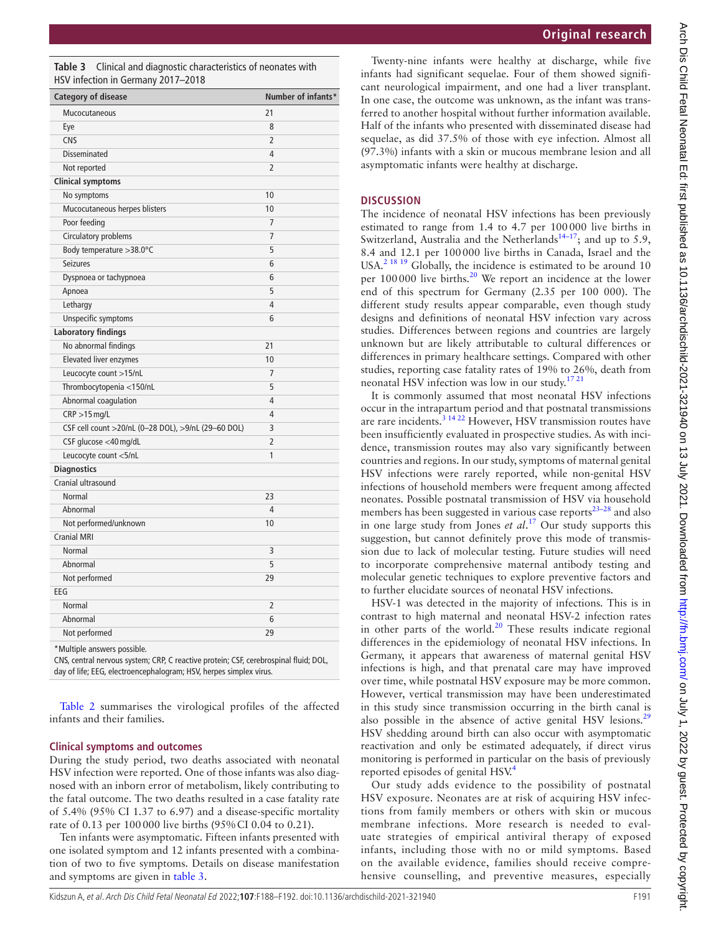Kidszun A, et al. Arch Dis Child Fetal Neonatal Ed 2022;**107**:F188–F192. doi:10.1136/archdischild-2021-321940 F191

|  | 92. doi:10.1136/archdischild-2021-321940 |  |
|--|------------------------------------------|--|
|  |                                          |  |

<span id="page-3-0"></span>**Table 3** Clinical and diagnostic characteristics of neonates with HSV infection in Germany 2017–2018

| <b>Category of disease</b>                          |                | Number of infants* |
|-----------------------------------------------------|----------------|--------------------|
| Mucocutaneous                                       | 21             |                    |
| Eye                                                 | 8              |                    |
| <b>CNS</b>                                          | $\overline{2}$ |                    |
| <b>Disseminated</b>                                 | 4              |                    |
| Not reported                                        | $\overline{2}$ |                    |
| <b>Clinical symptoms</b>                            |                |                    |
| No symptoms                                         | 10             |                    |
| Mucocutaneous herpes blisters                       | 10             |                    |
| Poor feeding                                        | 7              |                    |
| <b>Circulatory problems</b>                         | 7              |                    |
| Body temperature > 38.0°C                           | 5              |                    |
| <b>Seizures</b>                                     | 6              |                    |
| Dyspnoea or tachypnoea                              | 6              |                    |
| Apnoea                                              | 5              |                    |
| Lethargy                                            | 4              |                    |
| Unspecific symptoms                                 | 6              |                    |
| <b>Laboratory findings</b>                          |                |                    |
| No abnormal findings                                | 21             |                    |
| <b>Elevated liver enzymes</b>                       | 10             |                    |
| Leucocyte count >15/nL                              | 7              |                    |
| Thrombocytopenia <150/nL                            | 5              |                    |
| Abnormal coagulation                                | 4              |                    |
| $CRP > 15$ mg/L                                     | 4              |                    |
| CSF cell count >20/nL (0-28 DOL), >9/nL (29-60 DOL) | 3              |                    |
| CSF glucose <40 mg/dL                               | $\overline{2}$ |                    |
| Leucocyte count <5/nL                               | 1              |                    |
| <b>Diagnostics</b>                                  |                |                    |
| Cranial ultrasound                                  |                |                    |
| Normal                                              | 23             |                    |
| Abnormal                                            | 4              |                    |
| Not performed/unknown                               | 10             |                    |
| <b>Cranial MRI</b>                                  |                |                    |
| Normal                                              | 3              |                    |
| Abnormal                                            | 5              |                    |
| Not performed                                       | 29             |                    |
| EEG                                                 |                |                    |
| Normal                                              | 2              |                    |
| Abnormal                                            | 6              |                    |
| Not performed                                       | 29             |                    |

\*Multiple answers possible.

CNS, central nervous system; CRP, C reactive protein; CSF, cerebrospinal fluid; DOL, day of life; EEG, electroencephalogram; HSV, herpes simplex virus.

[Table](#page-2-0) 2 summarises the virological profiles of the affected infants and their families.

## **Clinical symptoms and outcomes**

During the study period, two deaths associated with neonatal HSV infection were reported. One of those infants was also diagnosed with an inborn error of metabolism, likely contributing to the fatal outcome. The two deaths resulted in a case fatality rate of 5.4% (95% CI 1.37 to 6.97) and a disease-specific mortality rate of 0.13 per 100000 live births (95%CI 0.04 to 0.21).

Ten infants were asymptomatic. Fifteen infants presented with one isolated symptom and 12 infants presented with a combination of two to five symptoms. Details on disease manifestation and symptoms are given in [table](#page-3-0) 3.

Twenty-nine infants were healthy at discharge, while five infants had significant sequelae. Four of them showed significant neurological impairment, and one had a liver transplant. In one case, the outcome was unknown, as the infant was transferred to another hospital without further information available. Half of the infants who presented with disseminated disease had sequelae, as did 37.5% of those with eye infection. Almost all (97.3%) infants with a skin or mucous membrane lesion and all asymptomatic infants were healthy at discharge.

## **DISCUSSION**

The incidence of neonatal HSV infections has been previously estimated to range from 1.4 to 4.7 per 100000 live births in Switzerland, Australia and the Netherlands<sup>14–17</sup>; and up to 5.9, 8.4 and 12.1 per 100000 live births in Canada, Israel and the USA.<sup>2 18 19</sup> Globally, the incidence is estimated to be around 10 per 100000 live births.<sup>20</sup> We report an incidence at the lower end of this spectrum for Germany (2.35 per 100 000). The different study results appear comparable, even though study designs and definitions of neonatal HSV infection vary across studies. Differences between regions and countries are largely unknown but are likely attributable to cultural differences or differences in primary healthcare settings. Compared with other studies, reporting case fatality rates of 19% to 26%, death from neonatal HSV infection was low in our study.[17 21](#page-4-11)

It is commonly assumed that most neonatal HSV infections occur in the intrapartum period and that postnatal transmissions are rare incidents.<sup>[3 14 22](#page-4-1)</sup> However, HSV transmission routes have been insufficiently evaluated in prospective studies. As with incidence, transmission routes may also vary significantly between countries and regions. In our study, symptoms of maternal genital HSV infections were rarely reported, while non-genital HSV infections of household members were frequent among affected neonates. Possible postnatal transmission of HSV via household members has been suggested in various case reports $23-28$  and also in one large study from Jones *et al*. [17](#page-4-11) Our study supports this suggestion, but cannot definitely prove this mode of transmission due to lack of molecular testing. Future studies will need to incorporate comprehensive maternal antibody testing and molecular genetic techniques to explore preventive factors and to further elucidate sources of neonatal HSV infections.

HSV-1 was detected in the majority of infections. This is in contrast to high maternal and neonatal HSV-2 infection rates in other parts of the world.<sup>[20](#page-4-10)</sup> These results indicate regional differences in the epidemiology of neonatal HSV infections. In Germany, it appears that awareness of maternal genital HSV infections is high, and that prenatal care may have improved over time, while postnatal HSV exposure may be more common. However, vertical transmission may have been underestimated in this study since transmission occurring in the birth canal is also possible in the absence of active genital HSV lesions.<sup>[29](#page-4-13)</sup> HSV shedding around birth can also occur with asymptomatic reactivation and only be estimated adequately, if direct virus monitoring is performed in particular on the basis of previously reported episodes of genital HSV.<sup>[4](#page-4-3)</sup>

Our study adds evidence to the possibility of postnatal HSV exposure. Neonates are at risk of acquiring HSV infections from family members or others with skin or mucous membrane infections. More research is needed to evaluate strategies of empirical antiviral therapy of exposed infants, including those with no or mild symptoms. Based on the available evidence, families should receive comprehensive counselling, and preventive measures, especially